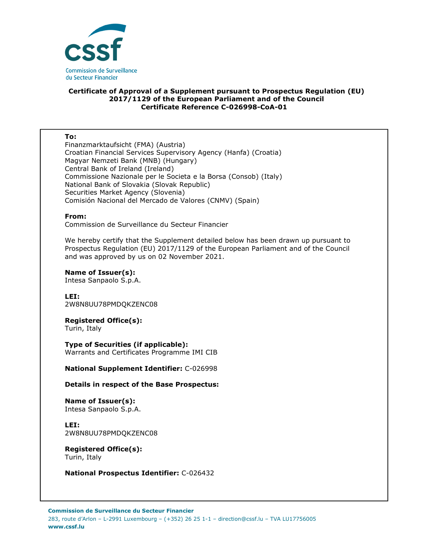

## **Certificate of Approval of a Supplement pursuant to Prospectus Regulation (EU) 2017/1129 of the European Parliament and of the Council Certificate Reference C-026998-CoA-01**

## **To:**

Finanzmarktaufsicht (FMA) (Austria) Croatian Financial Services Supervisory Agency (Hanfa) (Croatia) Magyar Nemzeti Bank (MNB) (Hungary) Central Bank of Ireland (Ireland) Commissione Nazionale per le Societa e la Borsa (Consob) (Italy) National Bank of Slovakia (Slovak Republic) Securities Market Agency (Slovenia) Comisión Nacional del Mercado de Valores (CNMV) (Spain)

## **From:**

Commission de Surveillance du Secteur Financier

We hereby certify that the Supplement detailed below has been drawn up pursuant to Prospectus Regulation (EU) 2017/1129 of the European Parliament and of the Council and was approved by us on 02 November 2021.

**Name of Issuer(s):** 

Intesa Sanpaolo S.p.A.

**LEI:** 2W8N8UU78PMDQKZENC08

**Registered Office(s):** 

Turin, Italy

**Type of Securities (if applicable):**  Warrants and Certificates Programme IMI CIB

**National Supplement Identifier:** C-026998

**Details in respect of the Base Prospectus:**

**Name of Issuer(s):**  Intesa Sanpaolo S.p.A.

**LEI:** 2W8N8UU78PMDQKZENC08

**Registered Office(s):**  Turin, Italy

**National Prospectus Identifier:** C-026432